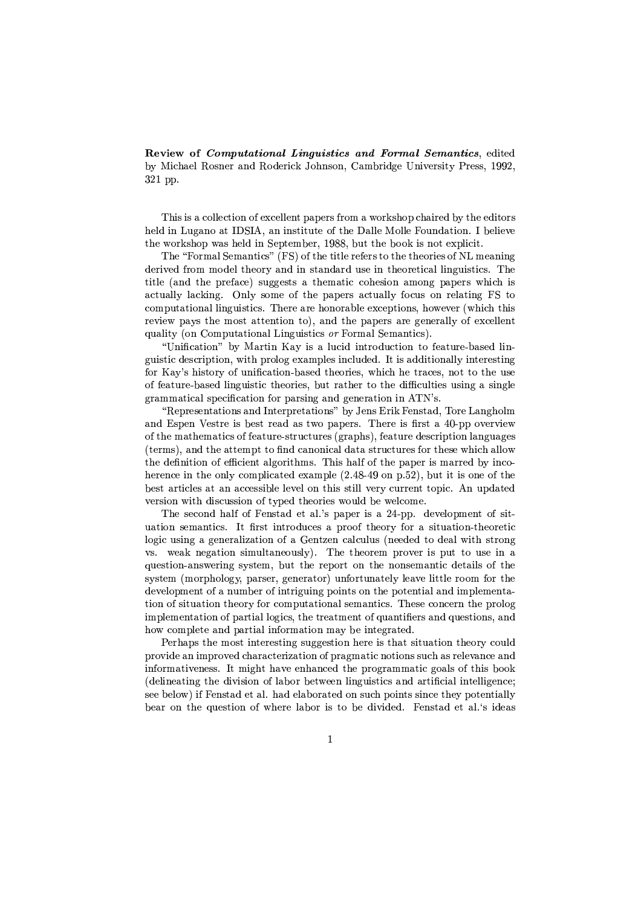Review of *Computational Linguistics and Formal Semantics*, edited by Michael Rosner and Roderick Johnson, Cambridge University Press, 1992. 321 pp.

This is a collection of excellent papers from a workshop chaired by the editors held in Lugano at IDSIA, an institute of the Dalle Molle Foundation. I believe the workshop was held in September, 1988, but the book is not explicit.

The "Formal Semantics" (FS) of the title refers to the theories of NL meaning derived from model theory and in standard use in theoretical linguistics. The title (and the preface) suggests a thematic cohesion among papers which is actually lacking. Only some of the papers actually focus on relating FS to computational linguistics. There are honorable exceptions, however (which this review pays the most attention to), and the papers are generally of excellent quality (on Computational Linguistics or Formal Semantics).

"Unification" by Martin Kay is a lucid introduction to feature-based linguistic description, with prolog examples included. It is additionally interesting for Kay's history of unification-based theories, which he traces, not to the use of feature-based linguistic theories, but rather to the difficulties using a single grammatical specification for parsing and generation in ATN's.

"Representations and Interpretations" by Jens Erik Fenstad, Tore Langholm and Espen Vestre is best read as two papers. There is first a 40-pp overview of the mathematics of feature-structures (graphs), feature description languages (terms), and the attempt to find canonical data structures for these which allow the definition of efficient algorithms. This half of the paper is marred by incoherence in the only complicated example  $(2.48-49)$  on p.52), but it is one of the best articles at an accessible level on this still very current topic. An updated version with discussion of typed theories would be welcome.

The second half of Fenstad et al.'s paper is a 24-pp. development of situation semantics. It first introduces a proof theory for a situation-theoretic logic using a generalization of a Gentzen calculus (needed to deal with strong vs. weak negation simultaneously). The theorem prover is put to use in a question-answering system, but the report on the nonsemantic details of the system (morphology, parser, generator) unfortunately leave little room for the development of a number of intriguing points on the potential and implementation of situation theory for computational semantics. These concern the prolog implementation of partial logics, the treatment of quantifiers and questions, and how complete and partial information may be integrated.

Perhaps the most interesting suggestion here is that situation theory could provide an improved characterization of pragmatic notions such as relevance and informativeness. It might have enhanced the programmatic goals of this book (delineating the division of labor between linguistics and artificial intelligence; see below) if Fenstad et al. had elaborated on such points since they potentially bear on the question of where labor is to be divided. Fenstad et al.'s ideas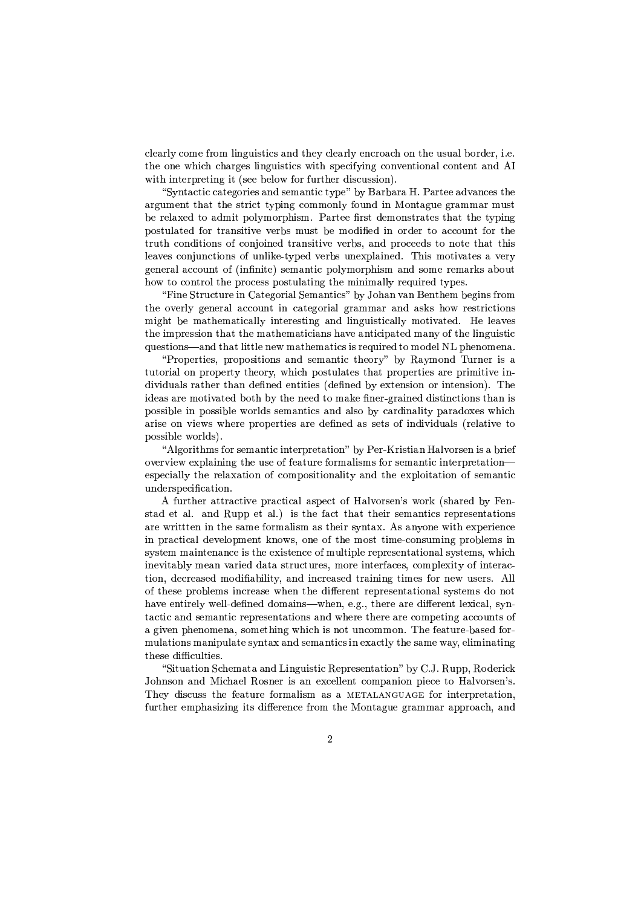$\mathcal{L}=\mathcal{L}=\mathcal{L}=\mathcal{L}=\mathcal{L}=\mathcal{L}=\mathcal{L}=\mathcal{L}=\mathcal{L}=\mathcal{L}=\mathcal{L}=\mathcal{L}=\mathcal{L}=\mathcal{L}=\mathcal{L}=\mathcal{L}=\mathcal{L}=\mathcal{L}=\mathcal{L}=\mathcal{L}=\mathcal{L}=\mathcal{L}=\mathcal{L}=\mathcal{L}=\mathcal{L}=\mathcal{L}=\mathcal{L}=\mathcal{L}=\mathcal{L}=\mathcal{L}=\mathcal{L}=\mathcal{L}=\mathcal{L}=\mathcal{L}=\mathcal{L}=\mathcal{L}=\mathcal{$ the one which charges linguistics with specifying conventional content and AI with interpreting it (see below for further discussion).

 $\rho_{\rm eff}$  and the contract of the contract  $\sim$  contract  $\sim$  contract  $\sim$  contract  $\sim$  contract  $\sim$  $K^T$ ,art $\overline{\phantom{X}}$  , and the eo, and the eo, and the eo, and the eo, and the eo, and the eo, and the eo, and the eo, and the eo, and the eo, and the eo, and the eo, and the eo, and the eo, and the eo, and the eo, and th be relaxed to admit polymorphism. Partee first demonstrates that the typing postulated for transitive verbs must be modified in order to account for the @TSx&@IGnO,RL=L?A@?AORLQ"O)pPGnO,R\*O,?VR&;>=3@TSK7RLQ?V@?Va7;a7;>T<sup>C</sup> Qn9K7RL=8hTO&Go;B;B=LQ@OR&O,@;-@SILK)@}@I&?HQ leaves conjunctions of unlike-typed verbs unexplained. This motivates a very general account of (infinite) semantic polymorphism and some remarks about how to control the process postulating the minimally required types.

"Fine Structure in Categorial Semantics" by Johan van Benthem begins from the overly general account in categorial grammar and asks how restrictions  $\blacksquare$  . The signal is the model of the model model model is the model of the model of the  $\blacksquare$ the impression that the mathematicians have anticipated many of the linguistic questions—and that little new mathematics is required to model NL phenomena.

 $\sigma$ , and  $\sigma$  and  $\sigma$  and  $\sigma$  and  $\sigma$  and  $\sigma$  and  $\sigma$  and  $\sigma$  and  $\sigma$ tutorial on property theory, which postulates that properties are primitive individuals rather than defined entities (defined by extension or intension). The ?V=&;>K7Q#K7T;`\5O,@?Va°K7@;>= <sup>C</sup> O7@I CD @I&;"R&;B;B=~@O\_\5K,W);mR&;BT¦],TSK)?HR&;B=-=L?VQ@?HRLGo@?AORLQ[@ILK,R-?HQ possible in possible worlds semantics and also by cardinality paradoxes which K7T?VQ;-O,Ra?V;ntPQtPI&;>T;vhLTOh;>T@?A;>Q}K,T;~=L;oR&;>=K,QQ;n@SQ}O7pP?VRL=L?Aau?H=LxLK)MHQT;nMHK)@?Va7;@O possible worlds).

|PMV]7OT?V@I\5QpO,TQ;>\5K,R@?HG?HR,@;BTShLT;n@K7@?VO,RL CDib;BT¦T?HQ@?VK,R -K)MVa7OTQ;BRi?HQK CT?V;op overview explaining the use of feature formalisms for semantic interpretation especially the relaxation of compositionality and the exploitation of semantic underspecification.

<sup>|</sup> prxLT@IL;BT\_K)@@TSK7Go@?Aa,;hLTSK7Gn@?HGnK7M[K,Qh;BGn@O7p -`K7MAa,O,TSQ;>R Q}tOTWQILK,T;>= CD ;>Ru Q@SK7=8;B@K)MjUK,RL=8NmxhLh;B@K)Mj s?VQ@IL;-prK7Gn@@SILK)@@I&;B?VT5Q;B\\_K7R@?HGnQT;>hLT;BQ;BR@K7@?VO,RLQ are writtten in the same formalism as their syntax. As anyone with experience  $\Omega$  and the latter wireless of the constant of  $\Omega$  or  $\Omega$  and  $\Omega$  and  $\Omega$  and  $\Omega$ system maintenance is the existence of multiple representational systems, which . A state  $\delta$  and  $\delta$  and  $\delta$  and  $\delta$  and  $\delta$  and  $\delta$  or  $\delta$  and  $\delta$  or  $\delta$  and  $\delta$ tion, decreased modifiability, and increased training times for new users. All  $\rho$  is the state of the state  $\rho$  and the state of the state of the state of the state of the state of the state of the state of the state of the state of the state of the state of the state of the state of the state of have entirely well-defined domains—when, e.g., there are different lexical, syn-@K7Gn@?HGiK7RL=Q;>\5K,R@?HG`T;BhLT;BQ;BR@SK)@?VO,RQK,RL=-tPI&;>T;@IL;BT;iK,T;GoO\5h;n@?VRL]\_K,GnGnO,xLR@QO)p K}],?Aa,;BR-hLIL;BR&O\;>RLKL9&QO,\5;n@SI&?HR&]tPIL?VGJI~?VQ#R&O,@[xLRGoO,\\_\5O,RjklIL;mp;>K)@xT;n CK,Q;>=\_pO,T  $x$  mulations manipulate syntax and semantics in exactly the same way, eliminating  $\blacksquare$ 

"Situation Schemata and Linguistic Representation" by C.J. Rupp, Roderick  $X$ , and the extra extra extra extra extra extra extra extra extra extra extra extra extra extra extra extra extra extra extra extra extra extra extra extra extra extra extra extra extra extra extra extra extra extra extra They discuss the feature formalism as a METALANGUAGE for interpretation, further emphasizing its difference from the Montague grammar approach, and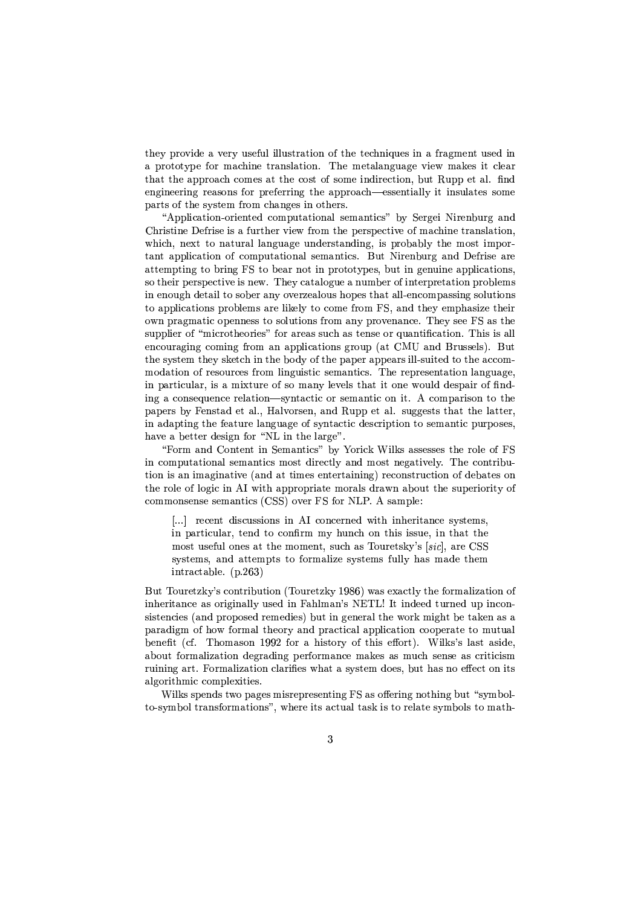they provide a very useful illustration of the techniques in a fragment used in a prototype for machine translation. The metalanguage view makes it clear that the approach comes at the cost of some indirection, but Rupp et al. find engineering reasons for preferring the approach—essentially it insulates some parts of the system from changes in others.

"Application-oriented computational semantics" by Sergei Nirenburg and Christine Defrise is a further view from the perspective of machine translation, which, next to natural language understanding, is probably the most important application of computational semantics. But Nirenburg and Defrise are attempting to bring FS to bear not in prototypes, but in genuine applications. so their perspective is new. They catalogue a number of interpretation problems in enough detail to sober any overzealous hopes that all encompassing solutions  $\mathcal{M}$  is the contract of the contract  $\mathcal{M}$  is the contract of the contract of the contract of the contract of the contract of the contract of the contract of the contract of the contract of the contract of the cont O:tPR~hLTSK)]\5K7@?HGmOh;>RLR&;>QQ[@OQO7MHx&@?VO,RQ<prTO,\K,R<sup>D</sup> hLTO:a,;BRLK,RLGo;,jklIL;<sup>D</sup> Q;n;i<{-K,Q@SI&; QxLhh&MA?V;BT#O7p`S\?HGnTO7@SI&;nOT?V;BQS"pOTlK7T;BK,Q[QSxLGJIvK7Q[@;>RLQ;"O,T xLK7R@?AGBK)@?VO,RjklIL?VQ#?HQPK)MVM encouraging coming from an applications group (at CMU and Brussels). But the system they sketch in the body of the paper appears ill-suited to the accom- $\overline{m}$ odation of resources from linguistic semantics. The representation language, in particular, is a mixture of so many levels that it one would despair of finding a consequence relation—syntactic or semantic on it. A comparison to the https://branchluid.com/distribution/induction/induction/induction/induction/induction/induction/induction/induction/induction/induction/induction/induction/induction/induction/induction/induction/induction/induction/induct in adapting the feature language of syntactic description to semantic purposes, have a better design for "NL in the large".

OT\K,RL=8ZO,R@;>R,@i?HR3{u;B\\_K7R@?HGnQS CD O,T?VGJW--?VMHWQ"K,QQ;BQSQ;BQ@I&;TO7MV;\_O)p<{ in computational semantics most directly and most negatively. The contribution is an imaginative (and at times entertaining) reconstruction of debates on the role of logic in AI with appropriate morals drawn about the superiority of  $\delta$  , and a solution of the contract  $\delta$  and  $\delta$  and  $\delta$  and  $\delta$  and  $\delta$  and  $\delta$  and  $\delta$  and  $\delta$  and  $\delta$  and  $\delta$  and  $\delta$  and  $\delta$  and  $\delta$  and  $\delta$  and  $\delta$  and  $\delta$  and  $\delta$  and  $\delta$  and  $\delta$  and  $\delta$  and  $\delta$ 

 jAjVj T;>Go;BR@-=&?HQSGnxLQSQ?VO,RQ?HR-|Py\_GoORLGo;>TRL;B=tl?A@SI?HRLI&;>T?V@K,RLGo;QDQ@;B\\_Qn9 in particular, tend to confirm my hunch on this issue, in that the  $\overline{\phantom{a}}$  ,  $\overline{\phantom{a}}$  ,  $\overline{\phantom{a}}$  ,  $\overline{\phantom{a}}$  ,  $\overline{\phantom{a}}$  ,  $\overline{\phantom{a}}$  ,  $\overline{\phantom{a}}$  ,  $\overline{\phantom{a}}$  ,  $\overline{\phantom{a}}$  ,  $\overline{\phantom{a}}$  ,  $\overline{\phantom{a}}$  ,  $\overline{\phantom{a}}$  ,  $\overline{\phantom{a}}$  ,  $\overline{\phantom{a}}$  ,  $\overline{\phantom{a}}$  ,  $\overline{\phantom{a}}$  $\blacksquare$  $intractable. (p.263)$ 

But Touretzky's contribution (Touretzky 1986) was exactly the formalization of inheritance as originally used in Fahlman's NETL! It indeed turned up incon- $\mathcal{A}$  , and as a subset of the contract of the contract of the contract of the contract of the contract of the contract of the contract of the contract of the contract of the contract of the contract of the contract of paradigm of how formal theory and practical application cooperate to mutual ra*(ar*my -2000a) -2000a, Orp. Of the Corp.  $K$  or a state  $\sim$  and the state of the state of the state of the state of the state of the state of the state of the state of the state of the state of the state of the state of the state of the state of the state of th Tx&?HR&?HR&]\_K7T@njOT\\_K)MV?V©BK)@?AOR-GoMHK7T?A;BQtPILK)@#K5QDQ@;B\=LO;>Qn9 CxL@#IK7Q#R&O5;;BGo@[O,R~?A@SQ algorithmic complexities.

--?AMHWuQ/Qh;BRL=Q@\$tO"hLK7]7;BQ\5?HQT;BhLT;BQ;BR@?VR&]`<{}K,QO;BT?VRL]R&O,@I&?HR&] Cx&@"SQD\CO,M to-symbol transformations", where its actual task is to relate symbols to math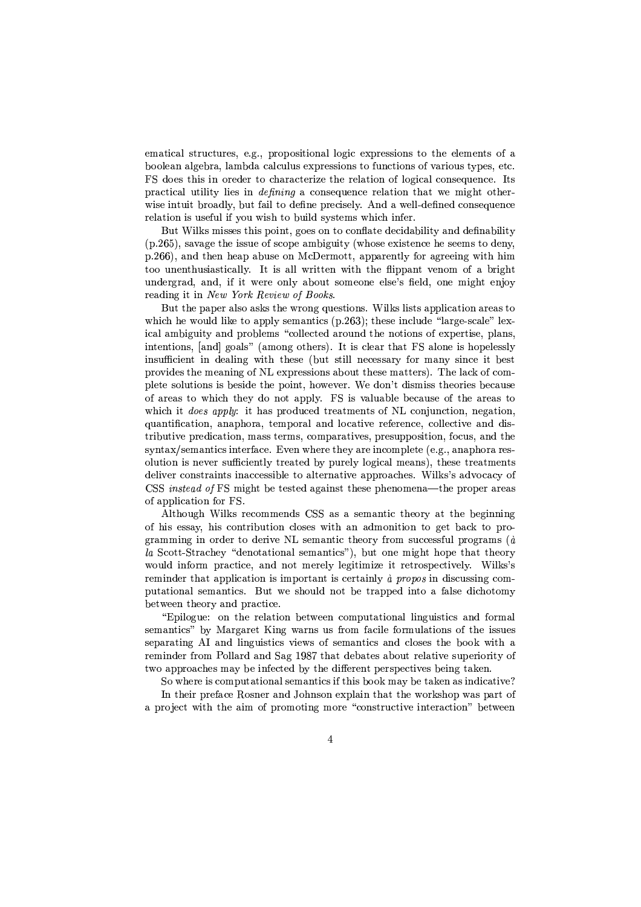ematical structures, e.g., propositional logic expressions to the elements of a boolean algebra, lambda calculus expressions to functions of various types, etc. FS does this in oreder to characterize the relation of logical consequence. Its practical utility lies in *defining* a consequence relation that we might otherwise intuit broadly, but fail to define precisely. And a well-defined consequence relation is useful if you wish to build systems which infer.

But Wilks misses this point, goes on to conflate decidability and definability (p.265), savage the issue of scope ambiguity (whose existence he seems to deny, p.266), and then heap abuse on McDermott, apparently for agreeing with him too unenthusiastically. It is all written with the flippant venom of a bright undergrad, and, if it were only about someone else's field, one might enjoy reading it in New York Review of Books.

But the paper also asks the wrong questions. Wilks lists application areas to which he would like to apply semantics (p.263); these include "large-scale" lexical ambiguity and problems "collected around the notions of expertise, plans, intentions, [and] goals" (among others). It is clear that FS alone is hopelessly insufficient in dealing with these (but still necessary for many since it best provides the meaning of NL expressions about these matters). The lack of complete solutions is beside the point, however. We don't dismiss theories because of areas to which they do not apply. FS is valuable because of the areas to which it *does apply*: it has produced treatments of NL conjunction, negation, quantification, anaphora, temporal and locative reference, collective and distributive predication, mass terms, comparatives, presupposition, focus, and the syntax/semantics interface. Even where they are incomplete (e.g., anaphora resolution is never sufficiently treated by purely logical means), these treatments deliver constraints inaccessible to alternative approaches. Wilks's advocacy of CSS *instead of* FS might be tested against these phenomena—the proper areas of application for FS.

Although Wilks recommends CSS as a semantic theory at the beginning of his essay, his contribution closes with an admonition to get back to programming in order to derive NL semantic theory from successful programs  $(a)$ la Scott-Strachey "denotational semantics"), but one might hope that theory would inform practice, and not merely legitimize it retrospectively. Wilks's reminder that application is important is certainly à propos in discussing computational semantics. But we should not be trapped into a false dichotomy between theory and practice.

"Epilogue: on the relation between computational linguistics and formal semantics" by Margaret King warns us from facile formulations of the issues separating AI and linguistics views of semantics and closes the book with a reminder from Pollard and Sag 1987 that debates about relative superiority of two approaches may be infected by the different perspectives being taken.

So where is computational semantics if this book may be taken as indicative?

In their preface Rosner and Johnson explain that the workshop was part of a project with the aim of promoting more "constructive interaction" between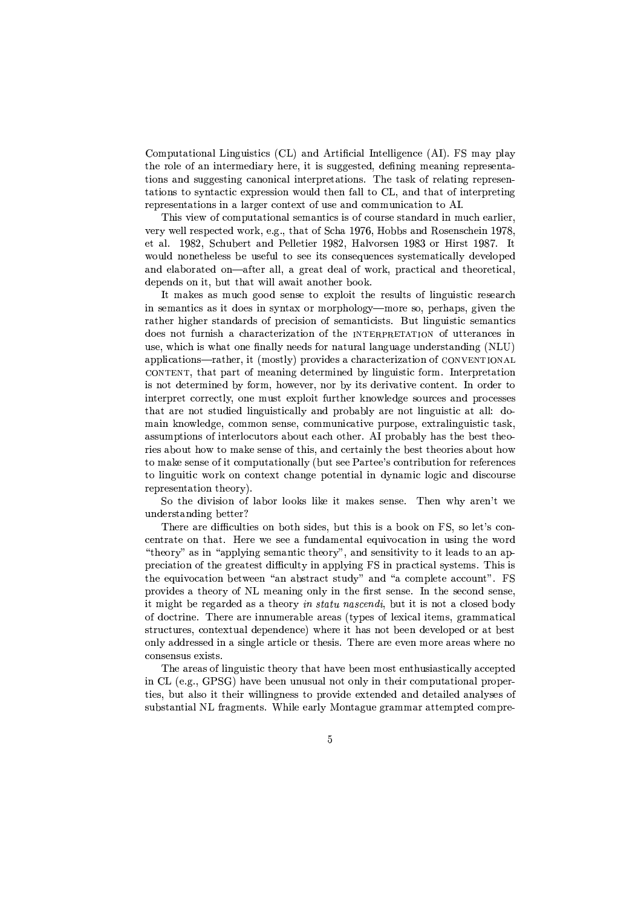Computational Linguistics (CL) and Artificial Intelligence (AI). FS may play the role of an intermediary here, it is suggested, defining meaning representations and suggesting canonical interpretations. The task of relating representations to syntactic expression would then fall to CL, and that of interpreting representations in a larger context of use and communication to AI.

... A. Van O7pGnO, Ramar (2007)... A. SKY (2007)... A. LA 2007)... A. LA 2007 (2007)... Discovered a strategie ar;BTD t;Badisaacartib;BRC-19-2023;Badisaaca ``aaa alaa imuu aaa Tiloo aaa Tiloo aaa T would nonetheless be useful to see its consequences systematically developed and elaborated on—after all, a great deal of work, practical and theoretical, depends on it, but that will await another book.

y , and , and , and , and , and , and , and , and , and , and , and , and , and , and , and , and , and , and , and , and , and , and , and , and , and , and , and , and , and , and , and , and , and , and , and , and , an in semantics as it does in syntax or morphology—more so, perhaps, given the rather higher standards of precision of semanticists. But linguistic semantics =&Ou;BQ-R&O,@prxLTSR&?HQI-KGJIK7TSK7Go@;BT?A©>K)@?AORO)pi@IL;--«O)px&@@;BTSK7RGo;BQ-?VR xLQ;,9&tPI&?HGJI-?HQ#tPILK)@[O,R&;RK)MVM<sup>D</sup> R&;B;B=LQpOTlRLK)@SxLTK7MMHK7RL],xLK7]7;`xRL=&;BTSQ@K7R=&?VRL]mw'^" K7hLh&MV?HGnK)@?AORLQ -TSK)@SI&;BTB97?V@`\5O,Q@MD<hLTO:au?V=&;>Q<KGJILK7TSK7Gn@;BT?V©BK)@?AOR5O)p CONTENT, that part of meaning determined by linguistic form. Interpretation is not determined by form, however, nor by its derivative content. In order to interpret correctly, one must exploit further knowledge sources and processes that are not studied linguistically and probably are not linguistic at all: do- $\pm$  and any point  $\pm$  or  $\pm$  and  $\pm$  and  $\pm$  and  $\pm$  and  $\pm$  and  $\pm$  and  $\pm$  and  $\pm$ assumptions of interlocutors about each other. AI probably has the best theo-T?V;BQ[KC O,xabia\_ia]paramonization as the computation of the computation of the computation of the computation of the computation of the computation of the computation of the computation of the computation of the computa to make sense of it computationally (but see Partee's contribution for references @OMV?HR&],x&?V@?HGtOTWUO,RGnO,R@;nq&@GJILK,R&]7;vhO,@;BR@?VK7M?HR=DRLK,\5?VG~MAO,]7?HG-K7RL==&?HQGnO,xLTSQ; T;>hLT;>Q;>R@K)@?AOR-@SI&;nOTDj

{O@SI&;F=L?Aau?HQ?VO,R-O7p}MHK<sup>C</sup> O,T-MVOuO,WuQMA?HW);U?A@\\_K7W);>QQ;BRQ;,j klIL;BR-tPI<sup>D</sup> K7T;BR @t; understanding better?

There are difficulties on both sides, but this is a book on FS, so let's conare minimum files and the state of the state of the state of the state of the state of the state of the state o "theory" as in "applying semantic theory", and sensitivity to it leads to an aphLT;>Go?HK)@?AOR-O)p@I&;i]T;>K)@;>Q@[=&?A¡GBx&MV@<sup>D</sup> ?VRvK7hh&MD?HR&]\_<{?HRhTK,Go@?HGnK7MYQDQ@;B\\_QBj/klI&?VQ[?HQ  $\mathbf{a}$ , and  $\mathbf{a}$  is the property of the property  $\mathbf{a}$ hto:au?H=&;Baxt,R&R,R&B;BK,R&MD ?HRU@SiX,R&B;BRLQ;7j\_y\*Rum@i&;1tSQ&"Q;BRLQ;7j\_y\*Rum@i&;1tSQ&"Q;BRLQ;7j\_y\*Rum@i&;1tSQ&MD ?HRU@I&;1tSQ&MD ?HRU@I&;1tSQ&MD ?HRU@I&;1tSQ&MD ?HRU@I&;1tSQ&MD ?HRU@I&;1tSQ&MD ?HRU@I&;1tSQ&MD ?HRU@I  $\Omega$  , and a sequence of the C is the C  $\Omega$  contribution of the C  $\Omega$  contribution of the C  $\Omega$ of doctrine. There are innumerable areas (types of lexical items, grammatical structures, contextual dependence) where it has not been developed or at best  $\mathcal{M}=\mathcal{M}$  and the sixteenth of the sixteenth of the sixteenth of the sixteenth of the sixteenth of the sixteenth of the sixteenth of the sixteenth of the sixteenth of the sixteenth of the sixteenth of the sixteenth o consensus exists.

The areas of linguistic theory that have been most enthus iastically accepted in CL (e.g., GPSG) have been unusual not only in their computational properties, but also it their willingness to provide extended and detailed analyses of  $\mathcal{L}$ , and as a set of the contract of the contract of the contract of the contract of the contract of the contract of the contract of the contract of the contract of the contract of the contract of the contract of the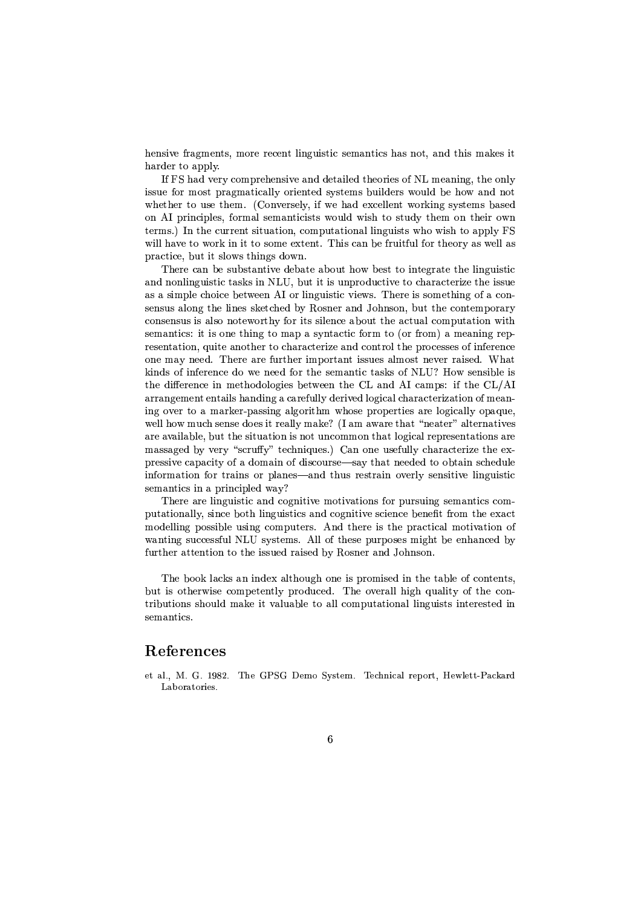hensive fragments, more recent linguistic semantics has not, and this makes it ILK7TS=&;BT[@O-K7hLh&MDj

If FS had very comprehensive and detailed theories of NL meaning, the only  $\mathcal{P}_\mathrm{c}$ , as a constructed of the form of the form of the form construction of the form construction of the form of the form of the form of the form of the form of the form of the form of the form of the form of the whether to use them. (Conversely, if we had excellent working systems based on AI principles, formal semanticists would wish to study them on their own terms.) In the current situation, computational linguists who wish to apply FS will have to work in it to some extent. This can be fruitful for theory as well as practice, but it slows things down.

klI&;BT;}GnK,R C;5QxCQ@SK7R@?Va7;=L;CK7@;KCOx&@mI&O:t <sup>C</sup> ;BQ@m@O-?VR@;n],TSK)@;"@I&;MA?HR&]x&?VQ@?HG and nonlinguistic tasks in NLU, but it is unproductive to characterize the issue as a simple choice between AI or linguistic views. There is something of a consensus along the lines sketched by Rosner and Johnson, but the contemporary GoO,RQ;>RLQxQl?VQ`K)MHQO-RLO7@;BtOT@SI<sup>D</sup> pO,Tm?A@SQmQ?AMV;BRGo;}KCOx&@P@IL;}K7Gn@xLK7MGoO\\_hLx&@K7@?VO,Rtl?V@I  $\sim$  Here is the interest of the interest of the interest of the interest of the interest of the interest of the interest of the interest of the interest of the interest of the interest of the interest of the interest of  $T_{\rm eff}$  and  $T_{\rm eff}$  and  $T_{\rm eff}$  and  $T_{\rm eff}$  and  $T_{\rm eff}$  . The first field  $T_{\rm eff}$  is the field of  $T_{\rm eff}$  $\mathcal{S}=\mathcal{S}=\mathcal{S}=\mathcal{S}=\mathcal{S}=\mathcal{S}=\mathcal{S}=\mathcal{S}=\mathcal{S}=\mathcal{S}=\mathcal{S}=\mathcal{S}=\mathcal{S}=\mathcal{S}=\mathcal{S}=\mathcal{S}=\mathcal{S}=\mathcal{S}=\mathcal{S}=\mathcal{S}=\mathcal{S}=\mathcal{S}=\mathcal{S}=\mathcal{S}=\mathcal{S}=\mathcal{S}=\mathcal{S}=\mathcal{S}=\mathcal{S}=\mathcal{S}=\mathcal{S}=\mathcal{S}=\mathcal{S}=\mathcal{S}=\mathcal{S}=\mathcal{S}=\mathcal{$ W,?HRL=LQiO7p<?HRup;BT;BRLGn;=&Ot[;R&;n;>=pOTi@I&;Q;B\\_K7R@?HG@K7QSWuQO)p<`w'^/ -mO:t Q;BRQ?CMV;?HQ the difference in methodologies between the CL and AI camps: if the  $CL/AI$ arrangement entails handing a carefully derived logical characterization of meaning over to a marker-passing algorithm whose properties are logically opaque. well how much sense does it really make? (I am aware that "neater" alternatives are available, but the situation is not uncommon that logical representations are massaged by very "scruffy" techniques.) Can one usefully characterize the expressive capacity of a domain of discourse—say that needed to obtain schedule information for trains or planes—and thus restrain overly sensitive linguistic semantics in a principled way?

There are linguistic and cognitive motivations for pursuing semantics computationally, since both linguistics and cognitive science benefit from the exact  $\blacksquare$  and the subset of the subset of the subset of the subset of the subset of the subset of the subset of the subset of the subset of the subset of the subset of the subset of the subset of the subset of the subset of wanting successful NLU systems. All of these purposes might be enhanced by further attention to the issued raised by Rosner and Johnson.

klI&; <sup>C</sup> OOW-MHK7GJWuQPK,R?VRL=L;oqK)MV@I&Ox&],IvO,RL;?VQ`hLTO,\5?VQ;B=v?HR@IL;@KCMA;}O)pGoOR,@;BR@QB9 Cx&@5?VQO7@SI&;BTtl?VQ;GnO,\\_h;n@;>R@MD hLTO&=LxGo;B=jFklI&;O:a7;>TK7MAM[I&?A]I xLK)MV?V@<sup>D</sup> O7pP@I&;GoORu tributions should make it valuable to all computational linguists interested in semantics.

## -

et al., M. G. 1982. The GPSG Demo System. Technical report, Hewlett-Packard Laboratories.